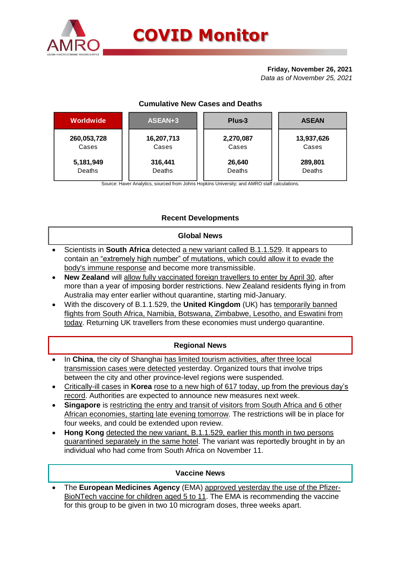

## **Friday, November 26, 2021**

*Data as of November 25, 2021*

# **Cumulative New Cases and Deaths**

| Worldwide   | ASEAN+3    | Plus-3    | <b>ASEAN</b> |  |  |
|-------------|------------|-----------|--------------|--|--|
| 260,053,728 | 16,207,713 | 2,270,087 | 13,937,626   |  |  |
| Cases       | Cases      | Cases     | Cases        |  |  |
| 5,181,949   | 316,441    | 26,640    | 289,801      |  |  |
| Deaths      | Deaths     | Deaths    | Deaths       |  |  |

Source: Haver Analytics, sourced from Johns Hopkins University; and AMRO staff calculations.

# **Recent Developments**

## **Global News**

- Scientists in **South Africa** detected a new variant called B.1.1.529. It appears to contain an "extremely high number" of mutations, which could allow it to evade the body's immune response and become more transmissible.
- **New Zealand** will allow fully vaccinated foreign travellers to enter by April 30, after more than a year of imposing border restrictions. New Zealand residents flying in from Australia may enter earlier without quarantine, starting mid-January.
- With the discovery of B.1.1.529, the **United Kingdom** (UK) has temporarily banned flights from South Africa, Namibia, Botswana, Zimbabwe, Lesotho, and Eswatini from today. Returning UK travellers from these economies must undergo quarantine.

# **Regional News**

- In **China**, the city of Shanghai has limited tourism activities, after three local transmission cases were detected yesterday. Organized tours that involve trips between the city and other province-level regions were suspended.
- Critically-ill cases in **Korea** rose to a new high of 617 today, up from the previous day's record. Authorities are expected to announce new measures next week.
- **Singapore** is restricting the entry and transit of visitors from South Africa and 6 other African economies, starting late evening tomorrow. The restrictions will be in place for four weeks, and could be extended upon review.
- **Hong Kong** detected the new variant, B.1.1.529, earlier this month in two persons quarantined separately in the same hotel. The variant was reportedly brought in by an individual who had come from South Africa on November 11.

## **Vaccine News**

 The **European Medicines Agency** (EMA) approved yesterday the use of the Pfizer-BioNTech vaccine for children aged 5 to 11. The EMA is recommending the vaccine for this group to be given in two 10 microgram doses, three weeks apart.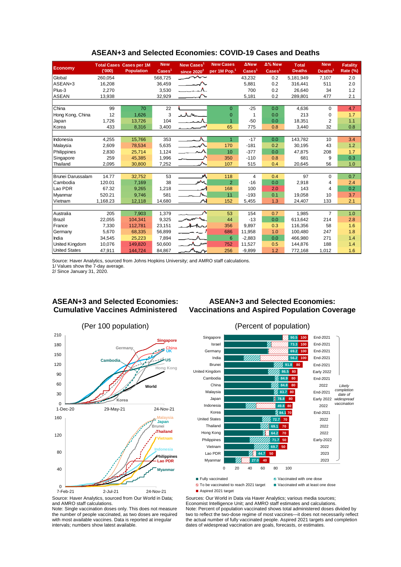| <b>Economy</b>       |          | <b>Total Cases Cases per 1M</b> | <b>New</b>               | New Cases <sup>1</sup>                          | <b>New Cases</b>         | <b>ANew</b>              | $\Delta\%$ New           | <b>Total</b>  | <b>New</b>          | <b>Fatality</b> |  |  |
|----------------------|----------|---------------------------------|--------------------------|-------------------------------------------------|--------------------------|--------------------------|--------------------------|---------------|---------------------|-----------------|--|--|
|                      | (000)    | <b>Population</b>               | $\text{Case} \text{s}^1$ | since $2020^2$                                  | per 1M Pop. <sup>1</sup> | $\text{Case} \text{s}^1$ | $\text{Case} \text{s}^1$ | <b>Deaths</b> | Deaths <sup>1</sup> | <b>Rate (%)</b> |  |  |
| Global               | 260,054  |                                 | 568,725                  | $\lambda$                                       |                          | 43,232                   | 0.2                      | 5,181,949     | 7,107               | 2.0             |  |  |
| ASEAN+3              | 16,208   |                                 | 36,459                   | $\overbrace{\phantom{aaaaa}}^{\phantom{aaaaa}}$ |                          | 5,881                    | 0.2                      | 316,441       | 511                 | 2.0             |  |  |
| Plus-3               | 2,270    |                                 | 3,530                    |                                                 |                          | 700                      | 0.2                      | 26.640        | 34                  | 1.2             |  |  |
| <b>ASEAN</b>         | 13,938   |                                 | 32,929                   |                                                 |                          | 5,181                    | 0.2                      | 289,801       | 477                 | 2.1             |  |  |
|                      |          |                                 |                          |                                                 |                          |                          |                          |               |                     |                 |  |  |
| China                | 99       | 70                              | 22                       |                                                 | $\Omega$                 | $-25$                    | 0.0                      | 4,636         | $\Omega$            | 4.7             |  |  |
| Hong Kong, China     | 12       | 1,626                           | 3                        | ichne                                           | $\Omega$                 |                          | 0.0                      | 213           | 0                   | 1.7             |  |  |
| Japan                | 1,726    | 13,726                          | 104                      |                                                 | $\overline{1}$           | $-50$                    | 0.0                      | 18,351        | 2                   | 1.1             |  |  |
| Korea                | 433      | 8,316                           | 3,400                    |                                                 | 65                       | 775                      | 0.8                      | 3,440         | 32                  | 0.8             |  |  |
|                      |          |                                 |                          |                                                 |                          |                          |                          |               |                     |                 |  |  |
| Indonesia            | 4,255    | 15,766                          | 353                      | $\mathbf{A}$                                    | $\overline{1}$           | $-17$                    | 0.0                      | 143,782       | 10                  | 3.4             |  |  |
| Malaysia             | 2,609    | 78,534                          | 5,635                    | $\overline{\phantom{a}}$                        | 170                      | $-181$                   | 0.2                      | 30,195        | 43                  | 1.2             |  |  |
| Philippines          | 2,830    | 25,714                          | 1,124                    |                                                 | 10                       | $-377$                   | 0.0                      | 47,875        | 208                 | 1.7             |  |  |
| Singapore            | 259      | 45,385                          | 1,996                    |                                                 | 350                      | $-110$                   | 0.8                      | 681           | 9                   | 0.3             |  |  |
| Thailand             | 2,095    | 30,800                          | 7,252                    |                                                 | 107                      | 515                      | 0.4                      | 20,645        | 56                  | 1.0             |  |  |
|                      |          |                                 |                          |                                                 |                          |                          |                          |               |                     |                 |  |  |
| Brunei Darussalam    | 14.77    | 32,752                          | 53                       | A                                               | 118                      | 4                        | 0.4                      | 97            | $\Omega$            | 0.7             |  |  |
| Cambodia             | 120.01   | 7,169                           | 38                       | $\mathcal{M}$                                   | $\overline{2}$           | $-16$                    | 0.0                      | 2.918         | 4                   | 2.4             |  |  |
| Lao PDR              | 67.32    | 9,265                           | 1,218                    |                                                 | 168                      | 100                      | 2.0                      | 143           | 4                   | 0.2             |  |  |
| Myanmar              | 520.21   | 9,746                           | 581                      |                                                 | 11                       | $-193$                   | 0.1                      | 19.058        | 10                  | 3.7             |  |  |
| Vietnam              | 1,168.23 | 12,118                          | 14,680                   | ୵                                               | 152                      | 5,455                    | 1.3                      | 24,407        | 133                 | 2.1             |  |  |
|                      |          |                                 |                          |                                                 |                          |                          |                          |               |                     |                 |  |  |
| Australia            | 205      | 7,903                           | 1,379                    |                                                 | 53                       | 154                      | 0.7                      | 1,985         | 7                   | 1.0             |  |  |
| Brazil               | 22,055   | 104,341                         | 9,325                    |                                                 | 44                       | $-13$                    | 0.0                      | 613.642       | 214                 | 2.8             |  |  |
| France               | 7,330    | 112,781                         | 23,151                   | inter                                           | 356                      | 9.897                    | 0.3                      | 116,356       | 58                  | 1.6             |  |  |
| Germany              | 5,670    | 68,335                          | 56,899                   |                                                 | 686                      | 11,958                   | 1.0                      | 100,480       | 247                 | 1.8             |  |  |
| India                | 34,545   | 25,223                          | 7,894                    |                                                 | 6                        | $-2,883$                 | 0.0                      | 466.980       | 271                 | 1.4             |  |  |
| United Kingdom       | 10,076   | 149,820                         | 50,600                   | Δ.<br>سيد                                       | 752                      | 11,527                   | 0.5                      | 144,876       | 188                 | 1.4             |  |  |
| <b>United States</b> | 47,911   | 144,724                         | 84,867                   | $\sim$                                          | 256                      | $-9,899$                 | 1.2                      | 772,168       | 1,012               | 1.6             |  |  |

### **ASEAN+3 and Selected Economies: COVID-19 Cases and Deaths**

Source: Haver Analytics, sourced from Johns Hopkins University; and AMRO staff calculations.

1/ Values show the 7-day average. 2/ Since January 31, 2020.

## **ASEAN+3 and Selected Economies: Cumulative Vaccines Administered**

## **ASEAN+3 and Selected Economies: Vaccinations and Aspired Population Coverage**





■ Aspired 2021 target

□ To be vaccinated to reach 2021 target ■ Vaccinated with at least one dose

Sources: Our World in Data via Haver Analytics; various media sources; Economist Intelligence Unit; and AMRO staff estimates and calculations. Note: Percent of population vaccinated shows total administered doses divided by two to reflect the two-dose regime of most vaccines—it does not necessarily reflect the actual number of fully vaccinated people. Aspired 2021 targets and completion dates of widespread vaccination are goals, forecasts, or estimates.

Source: Haver Analytics, sourced from Our World in Data; and AMRO staff calculations.

Note: Single vaccination doses only. This does not measure the number of people vaccinated, as two doses are required with most available vaccines. Data is reported at irregular intervals; numbers show latest available.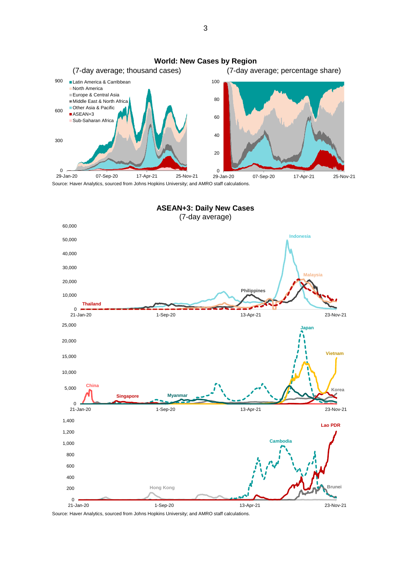



Source: Haver Analytics, sourced from Johns Hopkins University; and AMRO staff calculations.

3